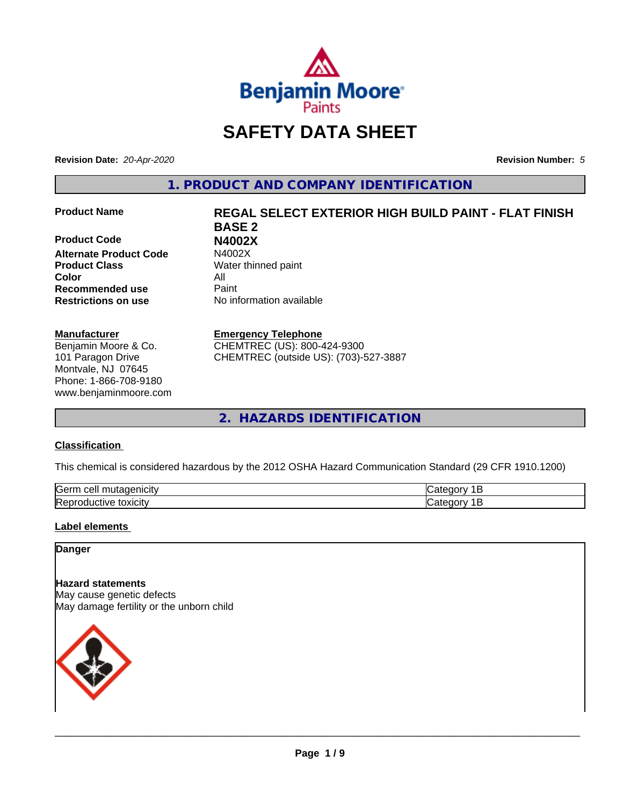

# **SAFETY DATA SHEET**

**Revision Date:** *20-Apr-2020* **Revision Number:** *5*

**1. PRODUCT AND COMPANY IDENTIFICATION**

**Product Code N4002X Alternate Product Code Product Class** Water thinned paint **Color** All **Recommended use** Paint **Restrictions on use** No information available

#### **Manufacturer**

Benjamin Moore & Co. 101 Paragon Drive Montvale, NJ 07645 Phone: 1-866-708-9180 www.benjaminmoore.com

# **Product Name REGAL SELECT EXTERIOR HIGH BUILD PAINT - FLAT FINISH BASE 2**

#### **Emergency Telephone**

CHEMTREC (US): 800-424-9300 CHEMTREC (outside US): (703)-527-3887

**2. HAZARDS IDENTIFICATION**

#### **Classification**

This chemical is considered hazardous by the 2012 OSHA Hazard Communication Standard (29 CFR 1910.1200)

| <b>Serr</b><br>---<br>$\cdot$          |  |
|----------------------------------------|--|
| <b>Re</b><br>*OXICItV<br>174<br>и<br>ш |  |

#### **Label elements**

#### **Danger**

**Hazard statements** May cause genetic defects May damage fertility or the unborn child

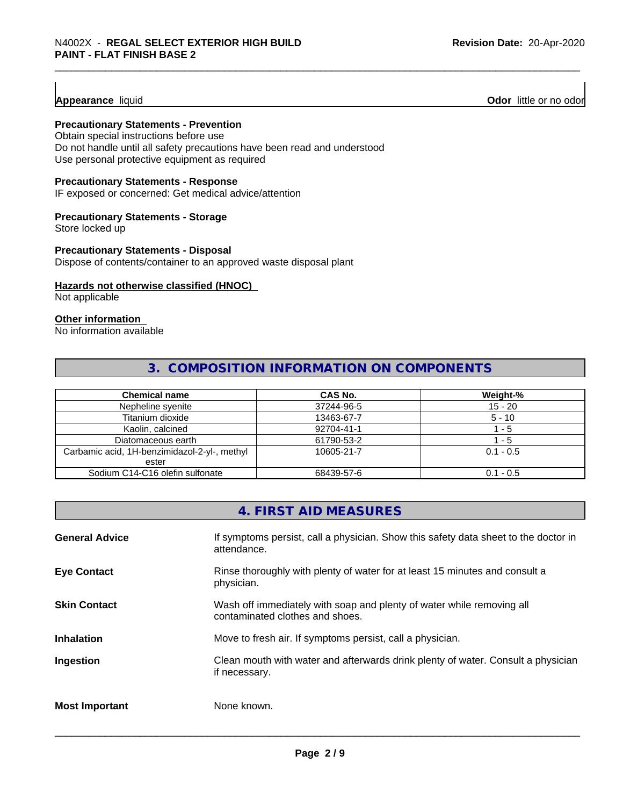#### **Appearance** liquid

**Odor** little or no odor

#### **Precautionary Statements - Prevention**

Obtain special instructions before use Do not handle until all safety precautions have been read and understood Use personal protective equipment as required

#### **Precautionary Statements - Response**

IF exposed or concerned: Get medical advice/attention

#### **Precautionary Statements - Storage**

Store locked up

#### **Precautionary Statements - Disposal**

Dispose of contents/container to an approved waste disposal plant

#### **Hazards not otherwise classified (HNOC)**

Not applicable

#### **Other information**

No information available

#### **3. COMPOSITION INFORMATION ON COMPONENTS**

| <b>Chemical name</b>                         | <b>CAS No.</b> | Weight-%    |
|----------------------------------------------|----------------|-------------|
| Nepheline syenite                            | 37244-96-5     | $15 - 20$   |
| Titanium dioxide                             | 13463-67-7     | $5 - 10$    |
| Kaolin, calcined                             | 92704-41-1     | $-5$        |
| Diatomaceous earth                           | 61790-53-2     | - 5         |
| Carbamic acid, 1H-benzimidazol-2-yl-, methyl | 10605-21-7     | $0.1 - 0.5$ |
| ester                                        |                |             |
| Sodium C14-C16 olefin sulfonate              | 68439-57-6     | $0.1 - 0.5$ |

#### **4. FIRST AID MEASURES**

| <b>General Advice</b> | If symptoms persist, call a physician. Show this safety data sheet to the doctor in<br>attendance.       |
|-----------------------|----------------------------------------------------------------------------------------------------------|
| <b>Eye Contact</b>    | Rinse thoroughly with plenty of water for at least 15 minutes and consult a<br>physician.                |
| <b>Skin Contact</b>   | Wash off immediately with soap and plenty of water while removing all<br>contaminated clothes and shoes. |
| <b>Inhalation</b>     | Move to fresh air. If symptoms persist, call a physician.                                                |
| Ingestion             | Clean mouth with water and afterwards drink plenty of water. Consult a physician<br>if necessary.        |
| <b>Most Important</b> | None known.                                                                                              |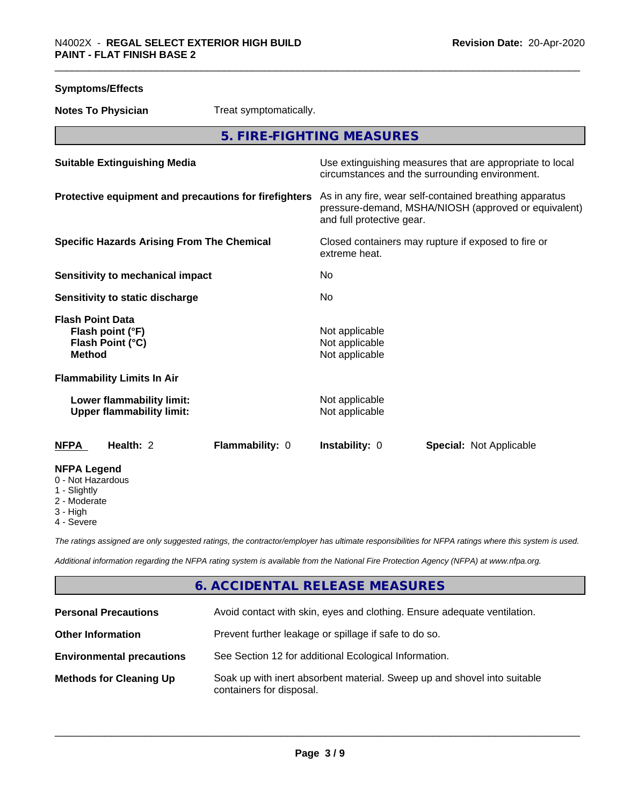| <b>Symptoms/Effects</b>                                                          |                                                                                                                                              |
|----------------------------------------------------------------------------------|----------------------------------------------------------------------------------------------------------------------------------------------|
| <b>Notes To Physician</b><br>Treat symptomatically.                              |                                                                                                                                              |
|                                                                                  | 5. FIRE-FIGHTING MEASURES                                                                                                                    |
| <b>Suitable Extinguishing Media</b>                                              | Use extinguishing measures that are appropriate to local<br>circumstances and the surrounding environment.                                   |
| Protective equipment and precautions for firefighters                            | As in any fire, wear self-contained breathing apparatus<br>pressure-demand, MSHA/NIOSH (approved or equivalent)<br>and full protective gear. |
| <b>Specific Hazards Arising From The Chemical</b>                                | Closed containers may rupture if exposed to fire or<br>extreme heat.                                                                         |
| Sensitivity to mechanical impact                                                 | No                                                                                                                                           |
| Sensitivity to static discharge                                                  | No                                                                                                                                           |
| <b>Flash Point Data</b><br>Flash point (°F)<br>Flash Point (°C)<br><b>Method</b> | Not applicable<br>Not applicable<br>Not applicable                                                                                           |
| <b>Flammability Limits In Air</b>                                                |                                                                                                                                              |
| Lower flammability limit:<br><b>Upper flammability limit:</b>                    | Not applicable<br>Not applicable                                                                                                             |
| Health: 2<br>Flammability: 0<br><b>NFPA</b>                                      | Instability: 0<br><b>Special: Not Applicable</b>                                                                                             |
| <b>NFPA Legend</b><br>0 - Not Hazardous<br>1 - Slightly<br>2 - Moderate          |                                                                                                                                              |

3 - High

4 - Severe

*The ratings assigned are only suggested ratings, the contractor/employer has ultimate responsibilities for NFPA ratings where this system is used.*

*Additional information regarding the NFPA rating system is available from the National Fire Protection Agency (NFPA) at www.nfpa.org.*

## **6. ACCIDENTAL RELEASE MEASURES**

| <b>Personal Precautions</b>      | Avoid contact with skin, eyes and clothing. Ensure adequate ventilation.                             |
|----------------------------------|------------------------------------------------------------------------------------------------------|
| <b>Other Information</b>         | Prevent further leakage or spillage if safe to do so.                                                |
| <b>Environmental precautions</b> | See Section 12 for additional Ecological Information.                                                |
| <b>Methods for Cleaning Up</b>   | Soak up with inert absorbent material. Sweep up and shovel into suitable<br>containers for disposal. |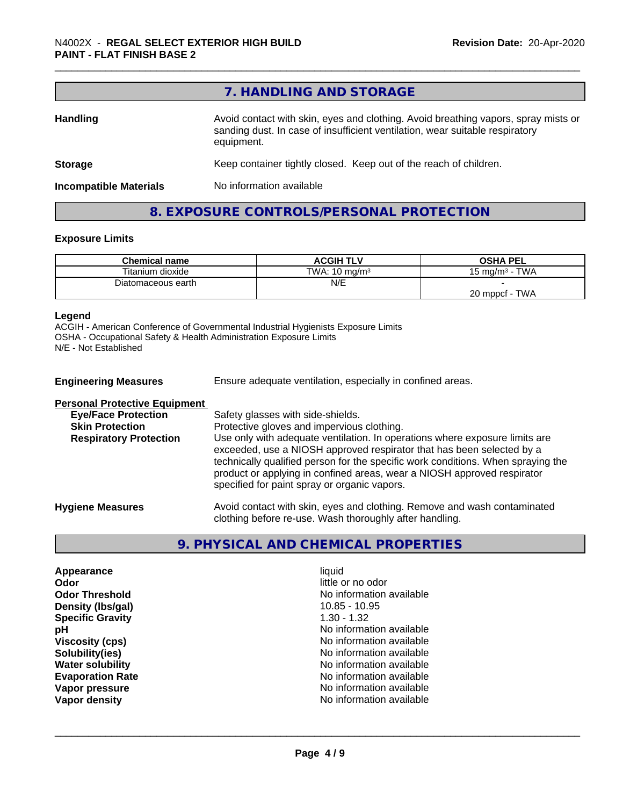|                               | 7. HANDLING AND STORAGE                                                                                                                                                          |
|-------------------------------|----------------------------------------------------------------------------------------------------------------------------------------------------------------------------------|
| <b>Handling</b>               | Avoid contact with skin, eyes and clothing. Avoid breathing vapors, spray mists or<br>sanding dust. In case of insufficient ventilation, wear suitable respiratory<br>equipment. |
| <b>Storage</b>                | Keep container tightly closed. Keep out of the reach of children.                                                                                                                |
| <b>Incompatible Materials</b> | No information available                                                                                                                                                         |

## **Exposure Limits**

| <b>Chemical name</b> | <b>ACGIH TLV</b>         | <b>OSHA PEL</b>                   |
|----------------------|--------------------------|-----------------------------------|
| Titanium dioxide     | TWA: $10 \text{ mg/m}^3$ | - TWA<br>15 mg/m <sup>3</sup> - 1 |
| Diatomaceous earth   | N/E                      |                                   |
|                      |                          | 20 mppcf - TWA                    |

**8. EXPOSURE CONTROLS/PERSONAL PROTECTION**

#### **Legend**

ACGIH - American Conference of Governmental Industrial Hygienists Exposure Limits OSHA - Occupational Safety & Health Administration Exposure Limits N/E - Not Established

| <b>Engineering Measures</b>          | Ensure adequate ventilation, especially in confined areas.                                                                                                                                                                                                                                                                                                          |  |
|--------------------------------------|---------------------------------------------------------------------------------------------------------------------------------------------------------------------------------------------------------------------------------------------------------------------------------------------------------------------------------------------------------------------|--|
| <b>Personal Protective Equipment</b> |                                                                                                                                                                                                                                                                                                                                                                     |  |
| <b>Eye/Face Protection</b>           | Safety glasses with side-shields.                                                                                                                                                                                                                                                                                                                                   |  |
| <b>Skin Protection</b>               | Protective gloves and impervious clothing.                                                                                                                                                                                                                                                                                                                          |  |
| <b>Respiratory Protection</b>        | Use only with adequate ventilation. In operations where exposure limits are<br>exceeded, use a NIOSH approved respirator that has been selected by a<br>technically qualified person for the specific work conditions. When spraying the<br>product or applying in confined areas, wear a NIOSH approved respirator<br>specified for paint spray or organic vapors. |  |
| <b>Hygiene Measures</b>              | Avoid contact with skin, eyes and clothing. Remove and wash contaminated<br>clothing before re-use. Wash thoroughly after handling.                                                                                                                                                                                                                                 |  |

### **9. PHYSICAL AND CHEMICAL PROPERTIES**

**Appearance** liquid **Odor** little or no odor **Density (Ibs/gal)** 10.85 - 10.95<br> **Specific Gravity** 1.30 - 1.32 **Specific Gravity** 

**Odor Threshold**<br> **Density (Ibs/gal)**<br> **Density (Ibs/gal)**<br> **No information available**<br>
10.85 - 10.95 **pH** No information available **Viscosity (cps)** No information available **Solubility(ies)** No information available **Water solubility Water solubility Water solubility Water solubility No information available Evaporation Rate No information available No information available Vapor pressure No information available Vapor density Vapor** density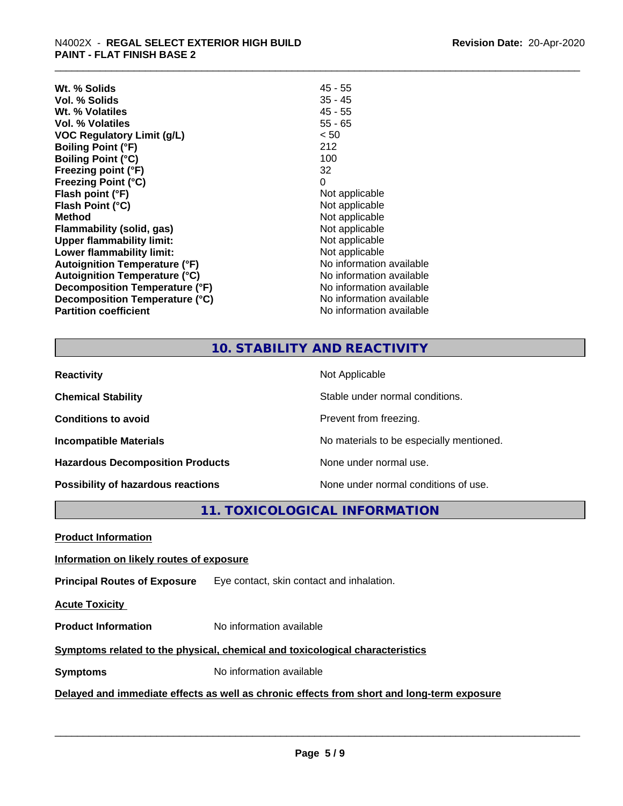| Wt. % Solids                         | 45 - 55                  |
|--------------------------------------|--------------------------|
| Vol. % Solids                        | $35 - 45$                |
| Wt. % Volatiles                      | $45 - 55$                |
| Vol. % Volatiles                     | $55 - 65$                |
| <b>VOC Regulatory Limit (g/L)</b>    | < 50                     |
| <b>Boiling Point (°F)</b>            | 212                      |
| <b>Boiling Point (°C)</b>            | 100                      |
| Freezing point (°F)                  | 32                       |
| <b>Freezing Point (°C)</b>           | 0                        |
| Flash point (°F)                     | Not applicable           |
| Flash Point (°C)                     | Not applicable           |
| <b>Method</b>                        | Not applicable           |
| Flammability (solid, gas)            | Not applicable           |
| Upper flammability limit:            | Not applicable           |
| Lower flammability limit:            | Not applicable           |
| <b>Autoignition Temperature (°F)</b> | No information available |
| <b>Autoignition Temperature (°C)</b> | No information available |
| Decomposition Temperature (°F)       | No information available |
| Decomposition Temperature (°C)       | No information available |
| <b>Partition coefficient</b>         | No information available |

#### **10. STABILITY AND REACTIVITY**

| <b>Reactivity</b>                       | Not Applicable                           |
|-----------------------------------------|------------------------------------------|
| <b>Chemical Stability</b>               | Stable under normal conditions.          |
| <b>Conditions to avoid</b>              | Prevent from freezing.                   |
| <b>Incompatible Materials</b>           | No materials to be especially mentioned. |
| <b>Hazardous Decomposition Products</b> | None under normal use.                   |
| Possibility of hazardous reactions      | None under normal conditions of use.     |

**11. TOXICOLOGICAL INFORMATION**

**Product Information**

#### **Information on likely routes of exposure**

**Principal Routes of Exposure** Eye contact, skin contact and inhalation.

**Acute Toxicity** 

**Product Information** No information available

#### **Symptoms** related to the physical, chemical and toxicological characteristics

**Symptoms** No information available

#### **Delayed and immediate effects as well as chronic effects from short and long-term exposure**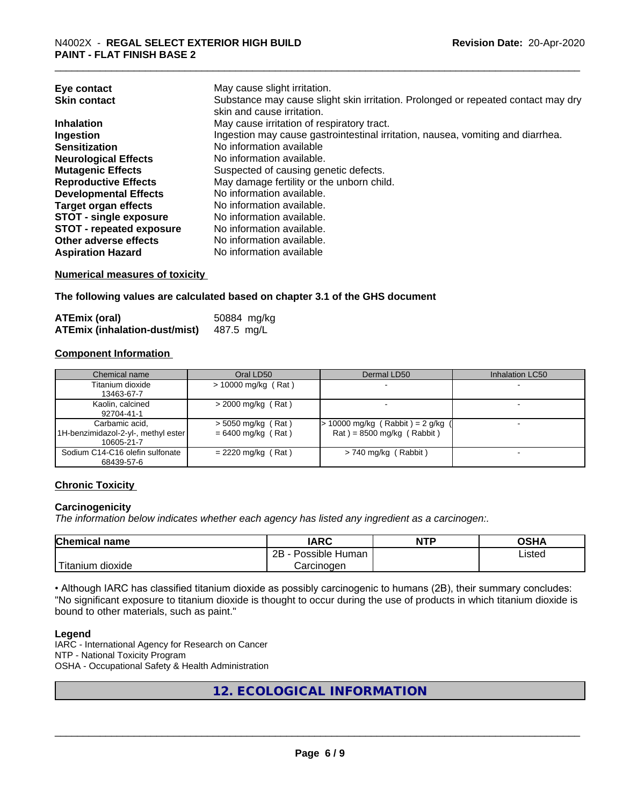| Eye contact                     | May cause slight irritation.                                                      |
|---------------------------------|-----------------------------------------------------------------------------------|
| <b>Skin contact</b>             | Substance may cause slight skin irritation. Prolonged or repeated contact may dry |
|                                 | skin and cause irritation.                                                        |
| <b>Inhalation</b>               | May cause irritation of respiratory tract.                                        |
| Ingestion                       | Ingestion may cause gastrointestinal irritation, nausea, vomiting and diarrhea.   |
| <b>Sensitization</b>            | No information available                                                          |
| <b>Neurological Effects</b>     | No information available.                                                         |
| <b>Mutagenic Effects</b>        | Suspected of causing genetic defects.                                             |
| <b>Reproductive Effects</b>     | May damage fertility or the unborn child.                                         |
| <b>Developmental Effects</b>    | No information available.                                                         |
| <b>Target organ effects</b>     | No information available.                                                         |
| <b>STOT - single exposure</b>   | No information available.                                                         |
| <b>STOT - repeated exposure</b> | No information available.                                                         |
| Other adverse effects           | No information available.                                                         |
| <b>Aspiration Hazard</b>        | No information available                                                          |

#### **Numerical measures of toxicity**

**The following values are calculated based on chapter 3.1 of the GHS document**

| ATEmix (oral)                        | 50884 mg/kg |
|--------------------------------------|-------------|
| <b>ATEmix (inhalation-dust/mist)</b> | 487.5 mg/L  |

#### **Component Information**

| Chemical name                                                        | Oral LD50                                    | Dermal LD50                                                        | Inhalation LC50 |
|----------------------------------------------------------------------|----------------------------------------------|--------------------------------------------------------------------|-----------------|
| Titanium dioxide<br>13463-67-7                                       | $> 10000$ mg/kg (Rat)                        |                                                                    |                 |
| Kaolin, calcined<br>92704-41-1                                       | $>$ 2000 mg/kg (Rat)                         |                                                                    |                 |
| Carbamic acid.<br>11H-benzimidazol-2-yl-, methyl ester<br>10605-21-7 | $>$ 5050 mg/kg (Rat)<br>$= 6400$ mg/kg (Rat) | $> 10000$ mg/kg (Rabbit) = 2 g/kg (<br>$Rat$ = 8500 mg/kg (Rabbit) |                 |
| Sodium C14-C16 olefin sulfonate<br>68439-57-6                        | $= 2220$ mg/kg (Rat)                         | $> 740$ mg/kg (Rabbit)                                             |                 |

#### **Chronic Toxicity**

#### **Carcinogenicity**

*The information below indicateswhether each agency has listed any ingredient as a carcinogen:.*

| <b>Chemical name</b>       | <b>IARC</b>          | <b>NTP</b> | OSHA   |
|----------------------------|----------------------|------------|--------|
|                            | Possible Human<br>2B |            | Listed |
| ' Titanium 、<br>n dioxide. | Carcinoɑen           |            |        |

• Although IARC has classified titanium dioxide as possibly carcinogenic to humans (2B), their summary concludes: "No significant exposure to titanium dioxide is thought to occur during the use of products in which titanium dioxide is bound to other materials, such as paint."

#### **Legend**

IARC - International Agency for Research on Cancer NTP - National Toxicity Program OSHA - Occupational Safety & Health Administration

**12. ECOLOGICAL INFORMATION**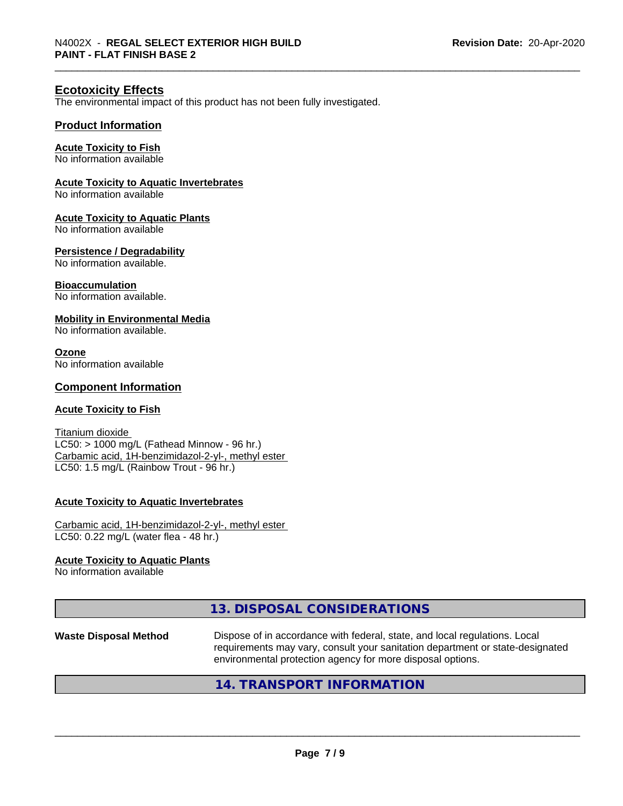#### **Ecotoxicity Effects**

The environmental impact of this product has not been fully investigated.

#### **Product Information**

#### **Acute Toxicity to Fish**

No information available

#### **Acute Toxicity to Aquatic Invertebrates**

No information available

#### **Acute Toxicity to Aquatic Plants**

No information available

#### **Persistence / Degradability**

No information available.

#### **Bioaccumulation**

No information available.

#### **Mobility in Environmental Media**

No information available.

#### **Ozone**

No information available

#### **Component Information**

#### **Acute Toxicity to Fish**

Titanium dioxide  $LC50:$  > 1000 mg/L (Fathead Minnow - 96 hr.) Carbamic acid, 1H-benzimidazol-2-yl-, methyl ester LC50: 1.5 mg/L (Rainbow Trout - 96 hr.)

#### **Acute Toxicity to Aquatic Invertebrates**

Carbamic acid, 1H-benzimidazol-2-yl-, methyl ester LC50: 0.22 mg/L (water flea - 48 hr.)

#### **Acute Toxicity to Aquatic Plants**

No information available

#### **13. DISPOSAL CONSIDERATIONS**

**Waste Disposal Method** Dispose of in accordance with federal, state, and local regulations. Local requirements may vary, consult your sanitation department or state-designated environmental protection agency for more disposal options.

 $\overline{\phantom{a}}$  ,  $\overline{\phantom{a}}$  ,  $\overline{\phantom{a}}$  ,  $\overline{\phantom{a}}$  ,  $\overline{\phantom{a}}$  ,  $\overline{\phantom{a}}$  ,  $\overline{\phantom{a}}$  ,  $\overline{\phantom{a}}$  ,  $\overline{\phantom{a}}$  ,  $\overline{\phantom{a}}$  ,  $\overline{\phantom{a}}$  ,  $\overline{\phantom{a}}$  ,  $\overline{\phantom{a}}$  ,  $\overline{\phantom{a}}$  ,  $\overline{\phantom{a}}$  ,  $\overline{\phantom{a}}$ 

#### **14. TRANSPORT INFORMATION**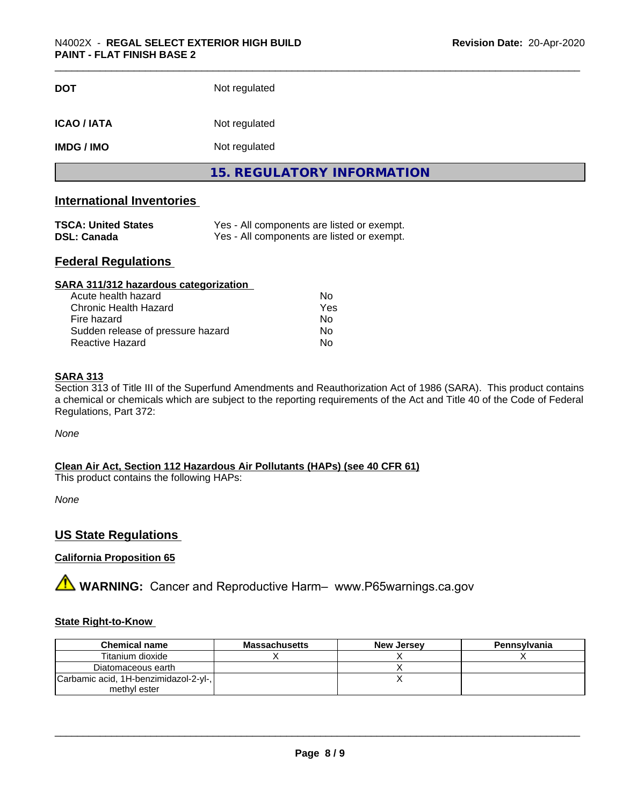| <b>DOT</b>         | Not regulated                     |  |
|--------------------|-----------------------------------|--|
| <b>ICAO / IATA</b> | Not regulated                     |  |
| <b>IMDG / IMO</b>  | Not regulated                     |  |
|                    | <b>15. REGULATORY INFORMATION</b> |  |

#### **International Inventories**

| <b>TSCA: United States</b> | Yes - All components are listed or exempt. |
|----------------------------|--------------------------------------------|
| DSL: Canada                | Yes - All components are listed or exempt. |

#### **Federal Regulations**

| SARA 311/312 hazardous categorization |     |  |
|---------------------------------------|-----|--|
| Acute health hazard                   | Nο  |  |
| Chronic Health Hazard                 | Yes |  |
| Fire hazard                           | Nο  |  |
| Sudden release of pressure hazard     | Nο  |  |
| Reactive Hazard                       | No  |  |

#### **SARA 313**

Section 313 of Title III of the Superfund Amendments and Reauthorization Act of 1986 (SARA). This product contains a chemical or chemicals which are subject to the reporting requirements of the Act and Title 40 of the Code of Federal Regulations, Part 372:

*None*

**Clean Air Act,Section 112 Hazardous Air Pollutants (HAPs) (see 40 CFR 61)**

This product contains the following HAPs:

*None*

#### **US State Regulations**

#### **California Proposition 65**

**A WARNING:** Cancer and Reproductive Harm– www.P65warnings.ca.gov

#### **State Right-to-Know**

| <b>Chemical name</b>                  | <b>Massachusetts</b> | <b>New Jersey</b> | Pennsylvania |
|---------------------------------------|----------------------|-------------------|--------------|
| Titanium dioxide                      |                      |                   |              |
| Diatomaceous earth                    |                      |                   |              |
| Carbamic acid, 1H-benzimidazol-2-yl-, |                      |                   |              |
| methyl ester                          |                      |                   |              |